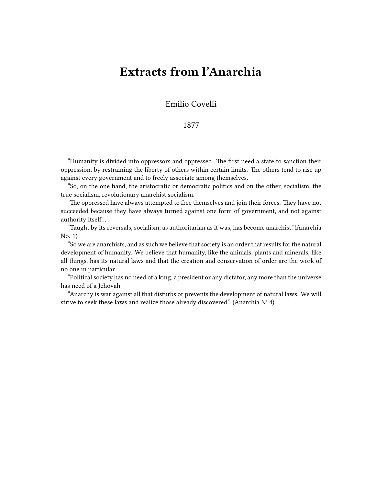## **Extracts from l'Anarchia**

Emilio Covelli

## 1877

"Humanity is divided into oppressors and oppressed. The first need a state to sanction their oppression, by restraining the liberty of others within certain limits. The others tend to rise up against every government and to freely associate among themselves.

"So, on the one hand, the aristocratic or democratic politics and on the other, socialism, the true socialism, revolutionary anarchist socialism.

"The oppressed have always attempted to free themselves and join their forces. They have not succeeded because they have always turned against one form of government, and not against authority itself…

"Taught by its reversals, socialism, as authoritarian as it was, has become anarchist."(Anarchia No. 1)

"So we are anarchists, and as such we believe that society is an order that results for the natural development of humanity. We believe that humanity, like the animals, plants and minerals, like all things, has its natural laws and that the creation and conservation of order are the work of no one in particular.

"Political society has no need of a king, a president or any dictator, any more than the universe has need of a Jehovah.

"Anarchy is war against all that disturbs or prevents the development of natural laws. We will strive to seek these laws and realize those already discovered." (Anarchia N° 4)